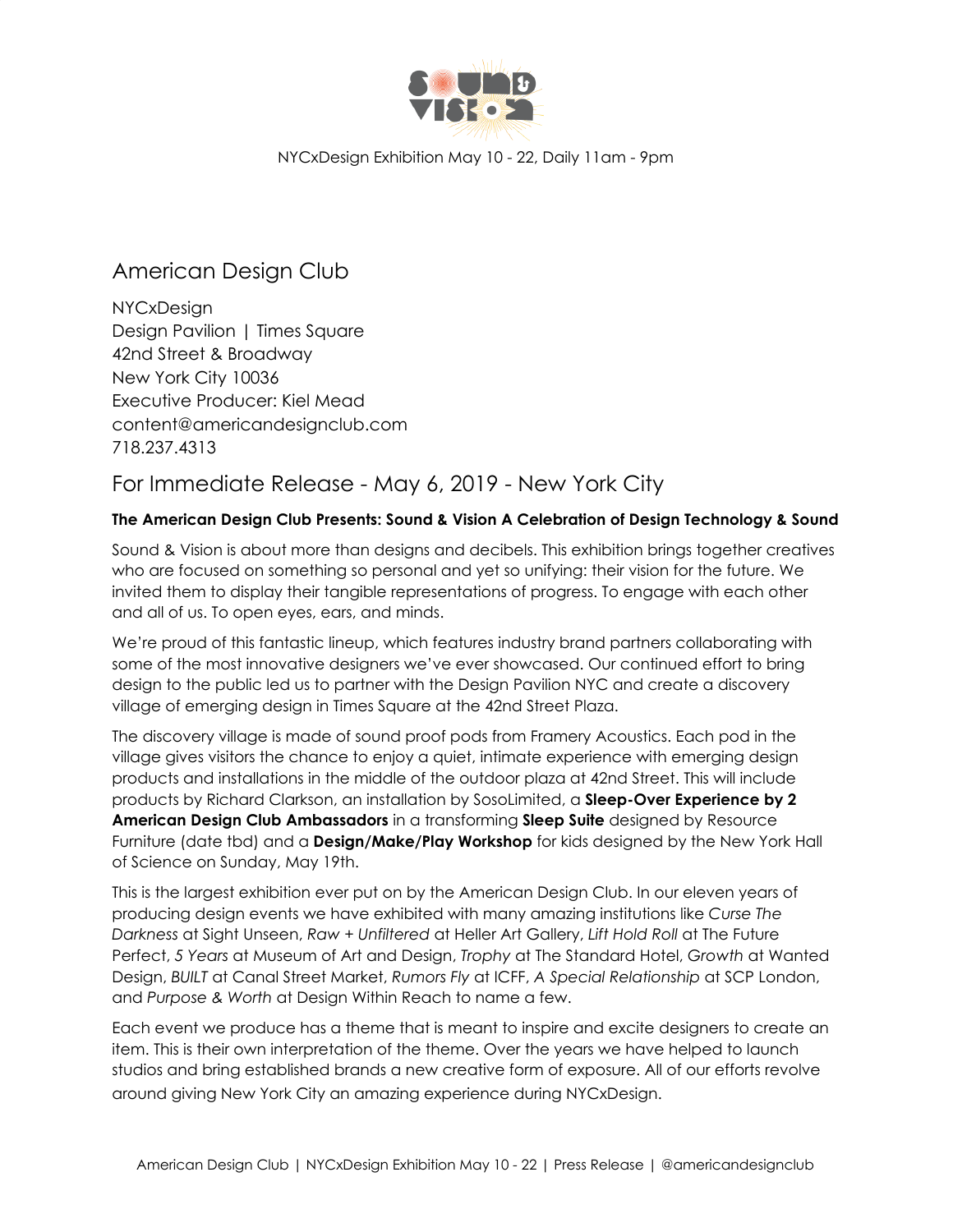

# American Design Club

NYCxDesign Design Pavilion | Times Square 42nd Street & Broadway New York City 10036 Executive Producer: Kiel Mead content@americandesignclub.com 718.237.4313

## For Immediate Release - May 6, 2019 - New York City

### **The American Design Club Presents: Sound & Vision A Celebration of Design Technology & Sound**

Sound & Vision is about more than designs and decibels. This exhibition brings together creatives who are focused on something so personal and yet so unifying: their vision for the future. We invited them to display their tangible representations of progress. To engage with each other and all of us. To open eyes, ears, and minds.

We're proud of this fantastic lineup, which features industry brand partners collaborating with some of the most innovative designers we've ever showcased. Our continued effort to bring design to the public led us to partner with the Design Pavilion NYC and create a discovery village of emerging design in Times Square at the 42nd Street Plaza.

The discovery village is made of sound proof pods from Framery Acoustics. Each pod in the village gives visitors the chance to enjoy a quiet, intimate experience with emerging design products and installations in the middle of the outdoor plaza at 42nd Street. This will include products by Richard Clarkson, an installation by SosoLimited, a **Sleep-Over Experience by 2 American Design Club Ambassadors** in a transforming **Sleep Suite** designed by Resource Furniture (date tbd) and a **Design/Make/Play Workshop** for kids designed by the New York Hall of Science on Sunday, May 19th.

This is the largest exhibition ever put on by the American Design Club. In our eleven years of producing design events we have exhibited with many amazing institutions like *Curse The Darkness* at Sight Unseen, *Raw + Unfiltered* at Heller Art Gallery, *Lift Hold Roll* at The Future Perfect, *5 Years* at Museum of Art and Design, *Trophy* at The Standard Hotel, *Growth* at Wanted Design, *BUILT* at Canal Street Market, *Rumors Fly* at ICFF, *A Special Relationship* at SCP London, and *Purpose & Worth* at Design Within Reach to name a few.

Each event we produce has a theme that is meant to inspire and excite designers to create an item. This is their own interpretation of the theme. Over the years we have helped to launch studios and bring established brands a new creative form of exposure. All of our efforts revolve around giving New York City an amazing experience during NYCxDesign.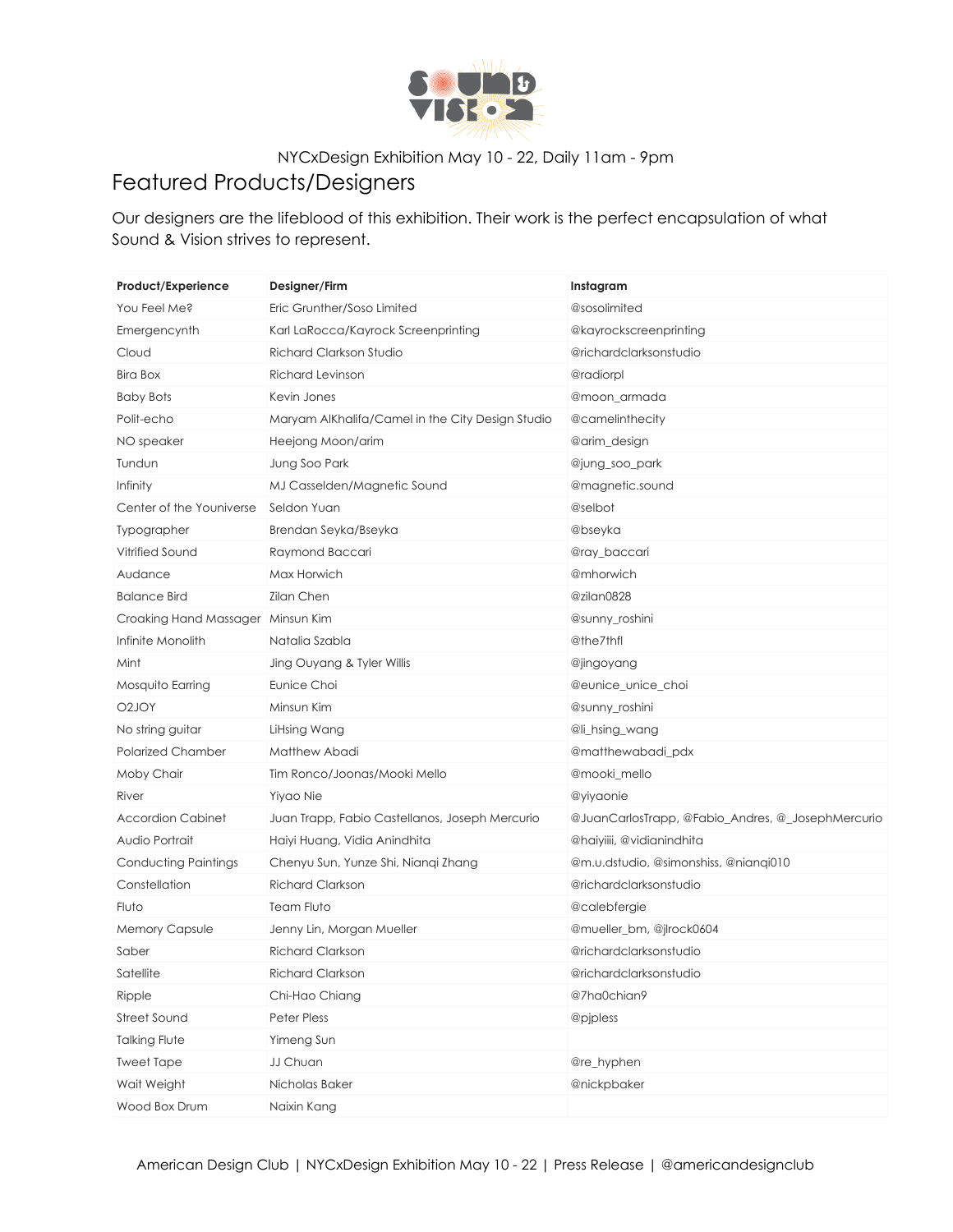

# Featured Products/Designers

Our designers are the lifeblood of this exhibition. Their work is the perfect encapsulation of what Sound & Vision strives to represent.

| Product/Experience                | Designer/Firm                                    | Instagram                                         |  |
|-----------------------------------|--------------------------------------------------|---------------------------------------------------|--|
| You Feel Me?                      | Eric Grunther/Soso Limited                       | @sosolimited                                      |  |
| Emergencynth                      | Karl LaRocca/Kayrock Screenprinting              | @kayrockscreenprinting                            |  |
| Cloud                             | Richard Clarkson Studio                          | @richardclarksonstudio                            |  |
| <b>Bira Box</b>                   | <b>Richard Levinson</b>                          | @radiorpl                                         |  |
| <b>Baby Bots</b>                  | Kevin Jones                                      | @moon_armada                                      |  |
| Polit-echo                        | Maryam AlKhalifa/Camel in the City Design Studio | @camelinthecity                                   |  |
| NO speaker                        | Heejong Moon/arim                                | @arim_design                                      |  |
| Tundun                            | Jung Soo Park                                    | @jung_soo_park                                    |  |
| Infinity                          | MJ Casselden/Magnetic Sound                      | @magnetic.sound                                   |  |
| Center of the Youniverse          | Seldon Yuan                                      | @selbot                                           |  |
| Typographer                       | Brendan Seyka/Bseyka                             | @bseyka                                           |  |
| Vitrified Sound                   | Raymond Baccari                                  | @ray_baccari                                      |  |
| Audance                           | Max Horwich                                      | @mhorwich                                         |  |
| <b>Balance Bird</b>               | <b>Zilan Chen</b>                                | @zilan0828                                        |  |
| Croaking Hand Massager Minsun Kim |                                                  | @sunny_roshini                                    |  |
| Infinite Monolith                 | Natalia Szabla                                   | @the7thfl                                         |  |
| Mint                              | Jing Ouyang & Tyler Willis                       | @jingoyang                                        |  |
| Mosquito Earring                  | Eunice Choi                                      | @eunice_unice_choi                                |  |
| O2JOY                             | Minsun Kim                                       | @sunny_roshini                                    |  |
| No string guitar                  | LiHsing Wang                                     | @li_hsing_wang                                    |  |
| <b>Polarized Chamber</b>          | Matthew Abadi                                    | @matthewabadi_pdx                                 |  |
| Moby Chair                        | Tim Ronco/Joonas/Mooki Mello                     | @mooki_mello                                      |  |
| River                             | Yiyao Nie                                        | @yiyaonie                                         |  |
| <b>Accordion Cabinet</b>          | Juan Trapp, Fabio Castellanos, Joseph Mercurio   | @JuanCarlosTrapp, @Fabio_Andres, @_JosephMercurio |  |
| Audio Portrait                    | Haiyi Huang, Vidia Anindhita                     | @haiyiiii, @vidianindhita                         |  |
| <b>Conducting Paintings</b>       | Chenyu Sun, Yunze Shi, Nianqi Zhang              | @m.u.dstudio, @simonshiss, @nianqi010             |  |
| Constellation                     | <b>Richard Clarkson</b>                          | @richardclarksonstudio                            |  |
| Fluto                             | Team Fluto                                       | @calebfergie                                      |  |
| <b>Memory Capsule</b>             | Jenny Lin, Morgan Mueller                        | @mueller_bm, @jlrock0604                          |  |
| Saber                             | <b>Richard Clarkson</b>                          | @richardclarksonstudio                            |  |
| Satellite                         | Richard Clarkson                                 | @richardclarksonstudio                            |  |
| Ripple                            | Chi-Hao Chiang                                   | @7ha0chian9                                       |  |
| <b>Street Sound</b>               | <b>Peter Pless</b>                               | @pjpless                                          |  |
| <b>Talking Flute</b>              | Yimeng Sun                                       |                                                   |  |
| <b>Tweet Tape</b>                 | JJ Chuan                                         | @re_hyphen                                        |  |
| Wait Weight                       | Nicholas Baker                                   | @nickpbaker                                       |  |
| Wood Box Drum                     | Naixin Kang                                      |                                                   |  |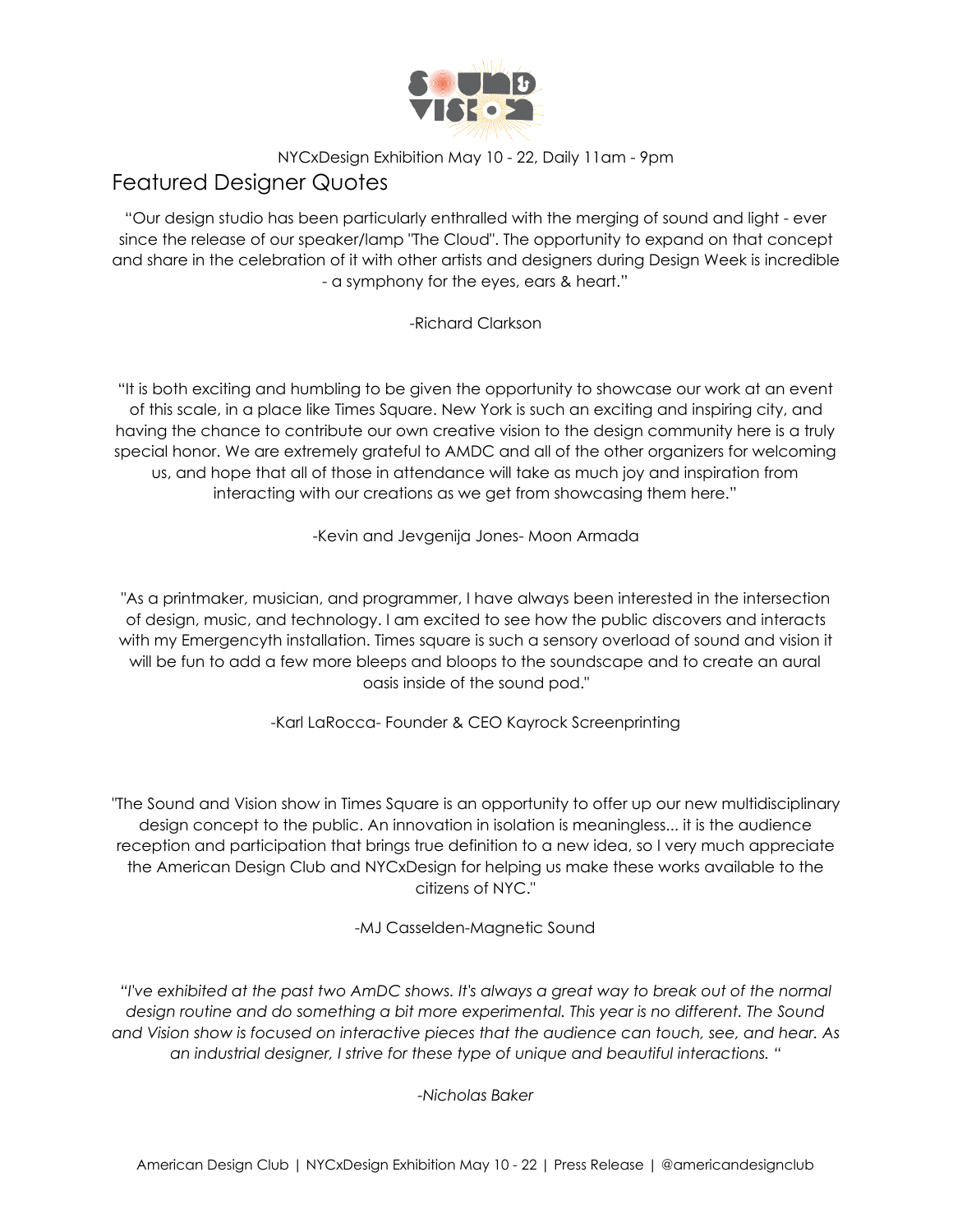

# Featured Designer Quotes

"Our design studio has been particularly enthralled with the merging of sound and light - ever since the release of our speaker/lamp "The Cloud". The opportunity to expand on that concept and share in the celebration of it with other artists and designers during Design Week is incredible - a symphony for the eyes, ears & heart."

### -Richard Clarkson

"It is both exciting and humbling to be given the opportunity to showcase our work at an event of this scale, in a place like Times Square. New York is such an exciting and inspiring city, and having the chance to contribute our own creative vision to the design community here is a truly special honor. We are extremely grateful to AMDC and all of the other organizers for welcoming us, and hope that all of those in attendance will take as much joy and inspiration from interacting with our creations as we get from showcasing them here."

-Kevin and Jevgenija Jones- Moon Armada

"As a printmaker, musician, and programmer, I have always been interested in the intersection of design, music, and technology. I am excited to see how the public discovers and interacts with my Emergencyth installation. Times square is such a sensory overload of sound and vision it will be fun to add a few more bleeps and bloops to the soundscape and to create an aural oasis inside of the sound pod."

-Karl LaRocca- Founder & CEO Kayrock Screenprinting

"The Sound and Vision show in Times Square is an opportunity to offer up our new multidisciplinary design concept to the public. An innovation in isolation is meaningless... it is the audience reception and participation that brings true definition to a new idea, so I very much appreciate the American Design Club and NYCxDesign for helping us make these works available to the citizens of NYC."

-MJ Casselden-Magnetic Sound

"I've exhibited at the past two AmDC shows. It's always a great way to break out of the normal *design routine and do something a bit more experimental. This year is no different. The Sound and Vision show is focused on interactive pieces that the audience can touch, see, and hear. As an industrial designer, I strive for these type of unique and beautiful interactions. "*

*-Nicholas Baker*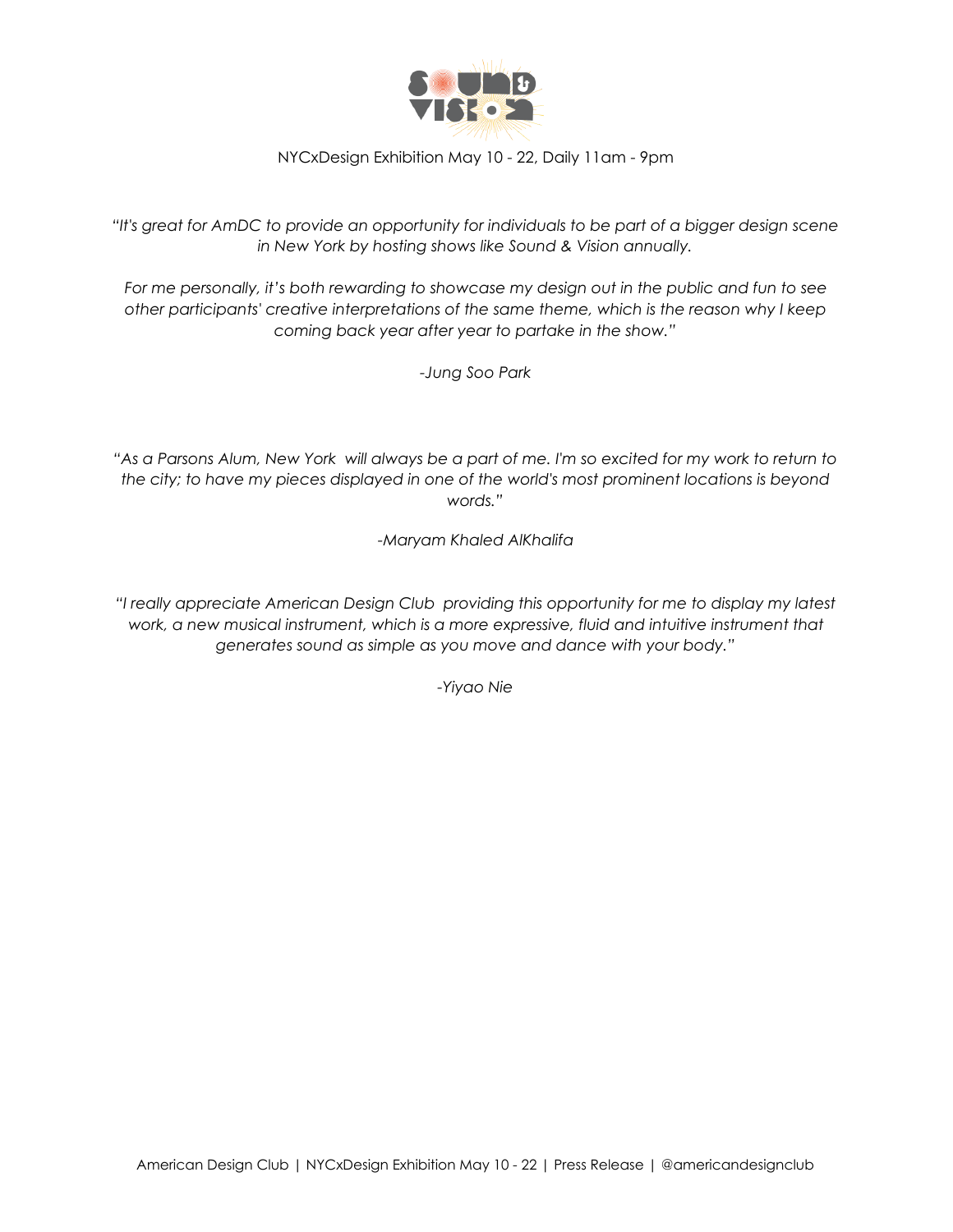

*"It's great for AmDC to provide an opportunity for individuals to be part of a bigger design scene in New York by hosting shows like Sound & Vision annually.*

*For me personally, it's both rewarding to showcase my design out in the public and fun to see other participants' creative interpretations of the same theme, which is the reason why I keep coming back year after year to partake in the show."*

*-Jung Soo Park*

"As a Parsons Alum, New York will always be a part of me. I'm so excited for my work to return to *the city; to have my pieces displayed in one of the world's most prominent locations is beyond words."*

*-Maryam Khaled AlKhalifa*

*"I really appreciate American Design Club providing this opportunity for me to display my latest work, a new musical instrument, which is a more expressive, fluid and intuitive instrument that generates sound as simple as you move and dance with your body."*

*-Yiyao Nie*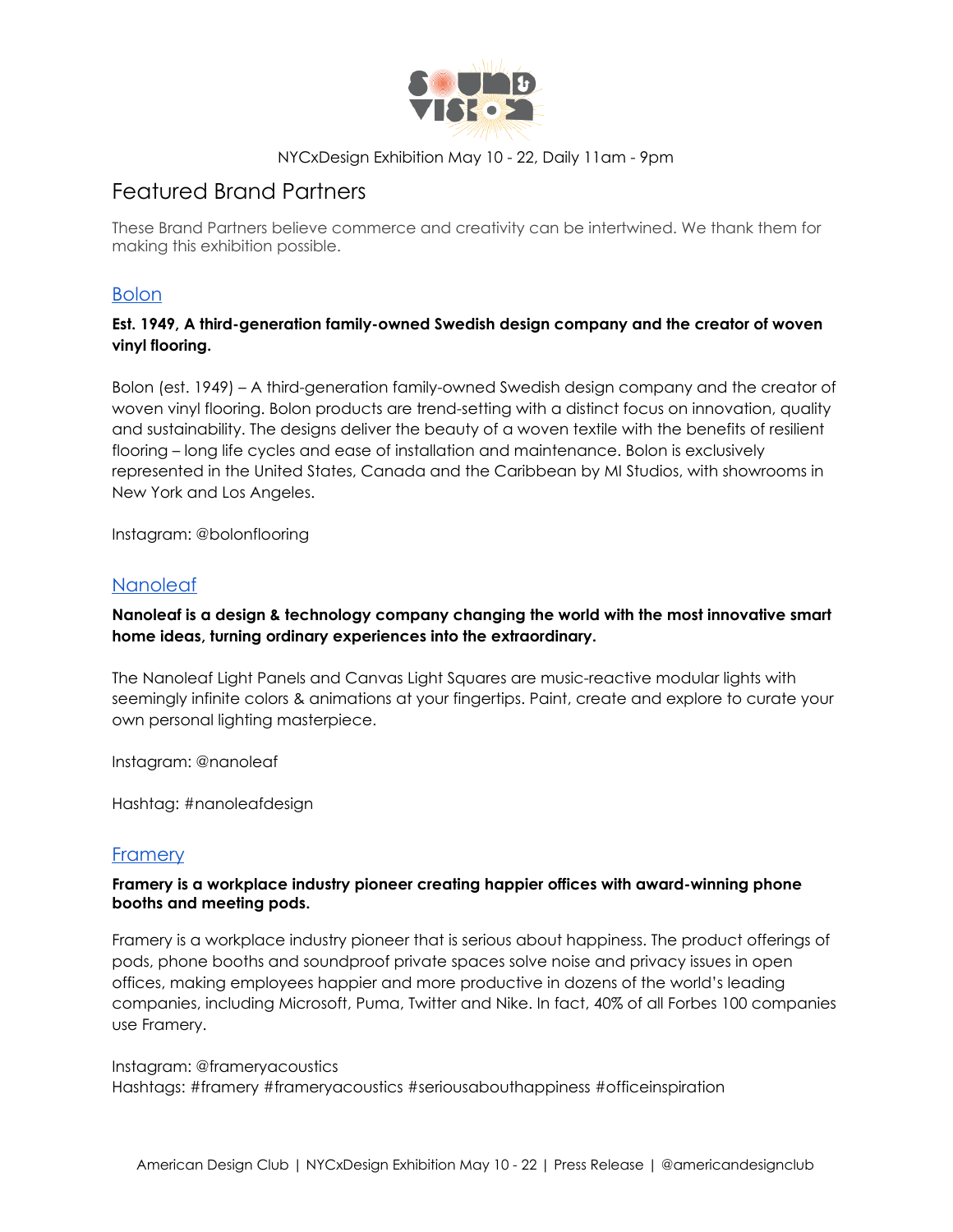

# Featured Brand Partners

These Brand Partners believe commerce and creativity can be intertwined. We thank them for making this exhibition possible.

### [Bolon](https://www.bolon.com/en)

### **Est. 1949, A third-generation family-owned Swedish design company and the creator of woven vinyl flooring.**

Bolon (est. 1949) – A third-generation family-owned Swedish design company and the creator of woven vinyl flooring. Bolon products are trend-setting with a distinct focus on innovation, quality and sustainability. The designs deliver the beauty of a woven textile with the benefits of resilient flooring – long life cycles and ease of installation and maintenance. Bolon is exclusively represented in the United States, Canada and the Caribbean by MI Studios, with showrooms in New York and Los Angeles.

Instagram: @bolonflooring

## [Nanoleaf](https://nanoleaf.me/en/)

#### **Nanoleaf is a design & technology company changing the world with the most innovative smart home ideas, turning ordinary experiences into the extraordinary.**

The Nanoleaf Light Panels and Canvas Light Squares are music-reactive modular lights with seemingly infinite colors & animations at your fingertips. Paint, create and explore to curate your own personal lighting masterpiece.

Instagram: @nanoleaf

Hashtag: #nanoleafdesign

### **[Framery](http://frameryacoustics.com/)**

#### **Framery is a workplace industry pioneer creating happier offices with award-winning phone booths and meeting pods.**

Framery is a workplace industry pioneer that is serious about happiness. The product offerings of pods, phone booths and soundproof private spaces solve noise and privacy issues in open offices, making employees happier and more productive in dozens of the world's leading companies, including Microsoft, Puma, Twitter and Nike. In fact, 40% of all Forbes 100 companies use Framery.

Instagram: @frameryacoustics Hashtags: #framery #frameryacoustics #seriousabouthappiness #officeinspiration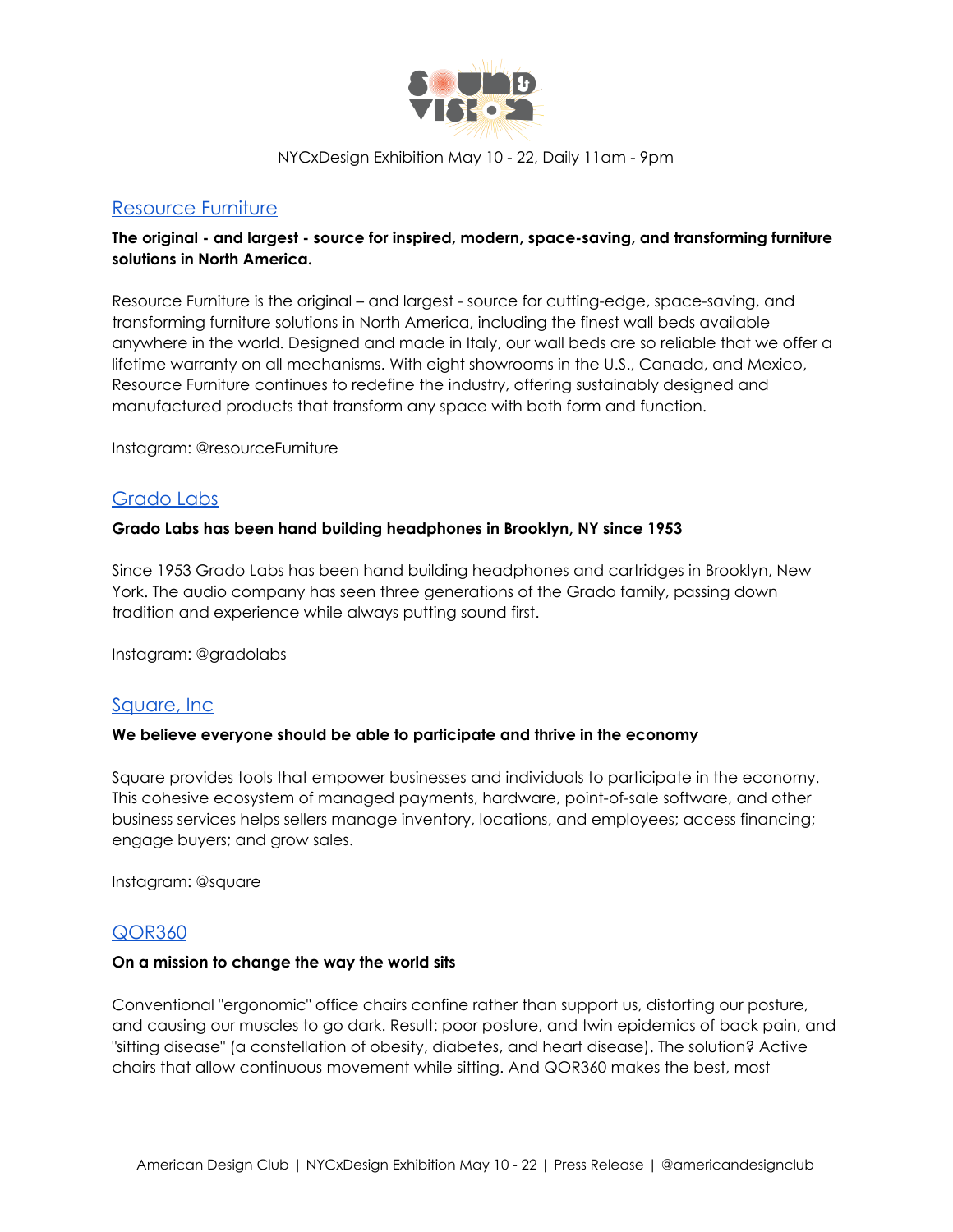

#### [Resource Furniture](https://resourcefurniture.com/)

#### **The original - and largest - source for inspired, modern, space-saving, and transforming furniture solutions in North America.**

Resource Furniture is the original – and largest - source for cutting-edge, space-saving, and transforming furniture solutions in North America, including the finest wall beds available anywhere in the world. Designed and made in Italy, our wall beds are so reliable that we offer a lifetime warranty on all mechanisms. With eight showrooms in the U.S., Canada, and Mexico, Resource Furniture continues to redefine the industry, offering sustainably designed and manufactured products that transform any space with both form and function.

Instagram: @resourceFurniture

### [Grado Labs](https://gradolabs.com/)

#### **Grado Labs has been hand building headphones in Brooklyn, NY since 1953**

Since 1953 Grado Labs has been hand building headphones and cartridges in Brooklyn, New York. The audio company has seen three generations of the Grado family, passing down tradition and experience while always putting sound first.

Instagram: @gradolabs

#### [Square, Inc](http://squareup.com/)

#### **We believe everyone should be able to participate and thrive in the economy**

Square provides tools that empower businesses and individuals to participate in the economy. This cohesive ecosystem of managed payments, hardware, point-of-sale software, and other business services helps sellers manage inventory, locations, and employees; access financing; engage buyers; and grow sales.

Instagram: @square

#### [QOR360](https://qor360.com/)

#### **On a mission to change the way the world sits**

Conventional "ergonomic" office chairs confine rather than support us, distorting our posture, and causing our muscles to go dark. Result: poor posture, and twin epidemics of back pain, and "sitting disease" (a constellation of obesity, diabetes, and heart disease). The solution? Active chairs that allow continuous movement while sitting. And QOR360 makes the best, most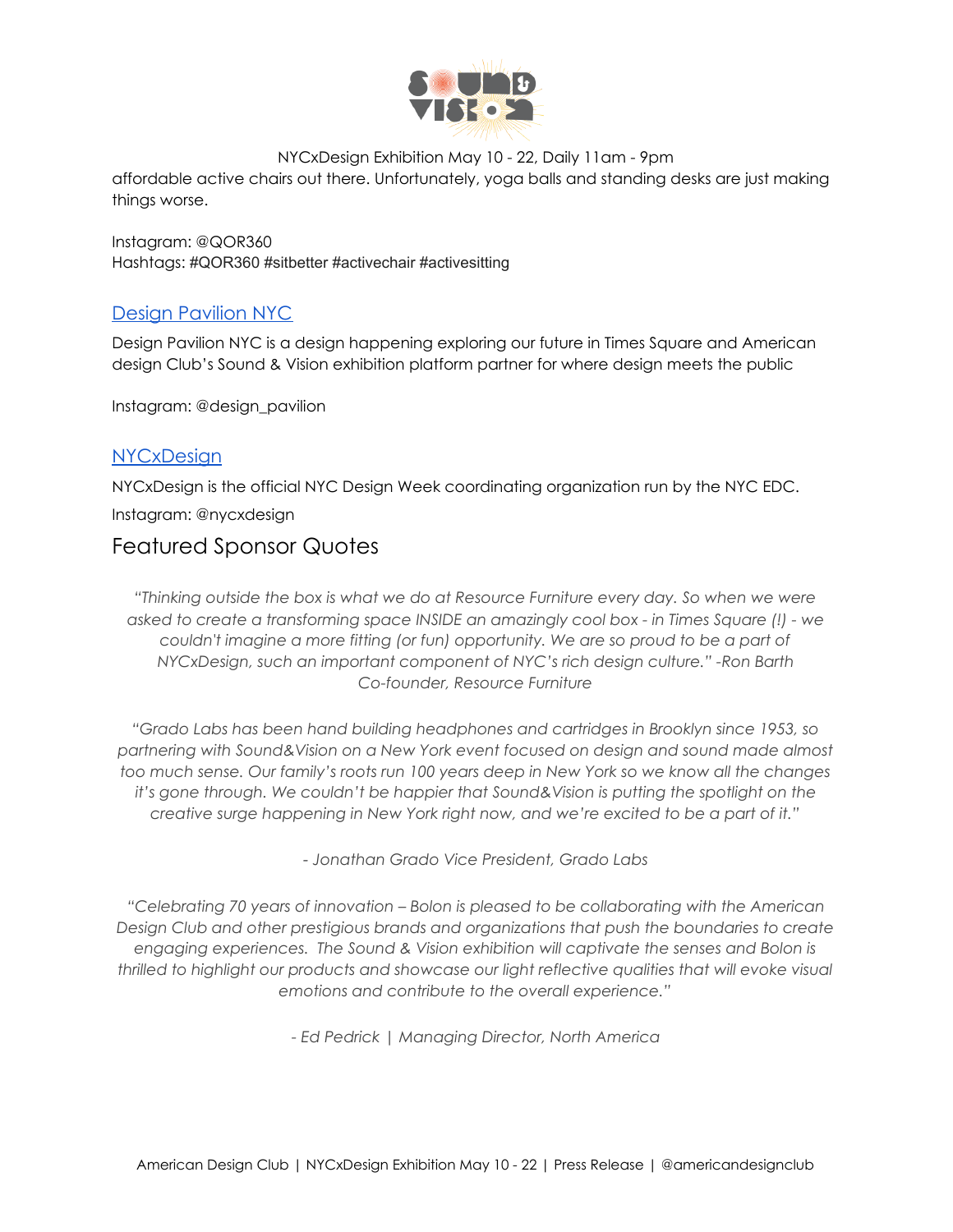

affordable active chairs out there. Unfortunately, yoga balls and standing desks are just making things worse.

Instagram: @QOR360 Hashtags: #QOR360 #sitbetter #activechair #activesitting

## [Design Pavilion NYC](https://www.design-pavilion.com/)

Design Pavilion NYC is a design happening exploring our future in Times Square and American design Club's Sound & Vision exhibition platform partner for where design meets the public

Instagram: @design\_pavilion

## **[NYCxDesign](http://nycxdesign.com/)**

NYCxDesign is the official NYC Design Week coordinating organization run by the NYC EDC. Instagram: @nycxdesign

## Featured Sponsor Quotes

*"Thinking outside the box is what we do at Resource Furniture every day. So when we were asked to create a transforming space INSIDE an amazingly cool box - in Times Square (!) - we couldn't imagine a more fitting (or fun) opportunity. We are so proud to be a part of NYCxDesign, such an important component of NYC's rich design culture." -Ron Barth Co-founder, Resource Furniture*

*"Grado Labs has been hand building headphones and cartridges in Brooklyn since 1953, so partnering with Sound&Vision on a New York event focused on design and sound made almost* too much sense. Our family's roots run 100 years deep in New York so we know all the changes *it's gone through. We couldn't be happier that Sound&Vision is putting the spotlight on the creative surge happening in New York right now, and we're excited to be a part of it."*

*- Jonathan Grado Vice President, Grado Labs*

*"Celebrating 70 years of innovation – Bolon is pleased to be collaborating with the American Design Club and other prestigious brands and organizations that push the boundaries to create engaging experiences. The Sound & Vision exhibition will captivate the senses and Bolon is thrilled to highlight our products and showcase our light reflective qualities that will evoke visual emotions and contribute to the overall experience."*

*- Ed Pedrick | Managing Director, North America*